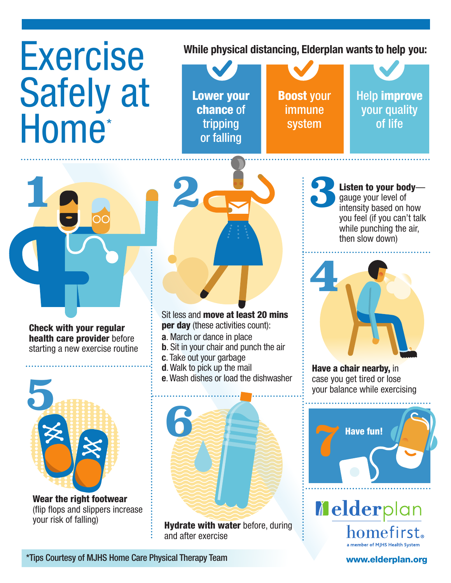## Exercise Safely at Home<sup>\*</sup>

**While physical distancing, Elderplan wants to help you:**





Check with your regular health care provider before starting a new exercise routine



Wear the right footwear (flip flops and slippers increase your risk of falling)



Sit less and move at least 20 mins per day (these activities count):

- **a**. March or dance in place
- **b**. Sit in your chair and punch the air
- **c**. Take out your garbage
- **d**.Walk to pick up the mail
- **e**.Wash dishes or load the dishwasher



**Hydrate with water before, during** and after exercise

**3**Listen to your body gauge your level of intensity based on how you feel (if you can't talk while punching the air, then slow down)



Have a chair nearby, in case you get tired or lose



Melderplan homefirst. a member of MJHS Health Syster

\*Tips Courtesy of MJHS Home Care Physical Therapy Team [www.elderplan.org](http://www.elderplan.org)